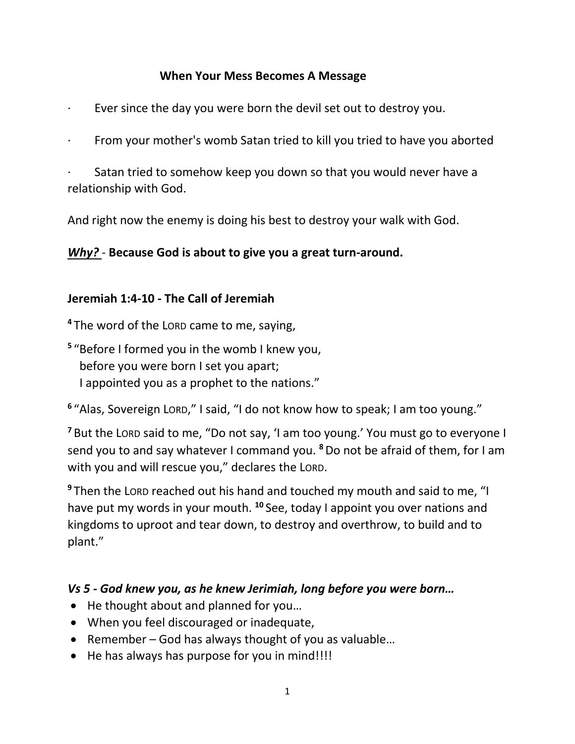#### **When Your Mess Becomes A Message**

- Ever since the day you were born the devil set out to destroy you.
- From your mother's womb Satan tried to kill you tried to have you aborted

Satan tried to somehow keep you down so that you would never have a relationship with God.

And right now the enemy is doing his best to destroy your walk with God.

#### *Why?* - **Because God is about to give you a great turn-around.**

#### **Jeremiah 1:4-10 - The Call of Jeremiah**

**<sup>4</sup>** The word of the LORD came to me, saying,

**5** "Before I formed you in the womb I knew you, before you were born I set you apart; I appointed you as a prophet to the nations."

**6** "Alas, Sovereign LORD," I said, "I do not know how to speak; I am too young."

**<sup>7</sup>** But the LORD said to me, "Do not say, 'I am too young.' You must go to everyone I send you to and say whatever I command you. **<sup>8</sup>**Do not be afraid of them, for I am with you and will rescue you," declares the LORD.

**<sup>9</sup>** Then the LORD reached out his hand and touched my mouth and said to me, "I have put my words in your mouth. **<sup>10</sup>** See, today I appoint you over nations and kingdoms to uproot and tear down, to destroy and overthrow, to build and to plant."

#### *Vs 5 - God knew you, as he knew Jerimiah, long before you were born…*

- He thought about and planned for you…
- When you feel discouraged or inadequate,
- Remember God has always thought of you as valuable…
- He has always has purpose for you in mind!!!!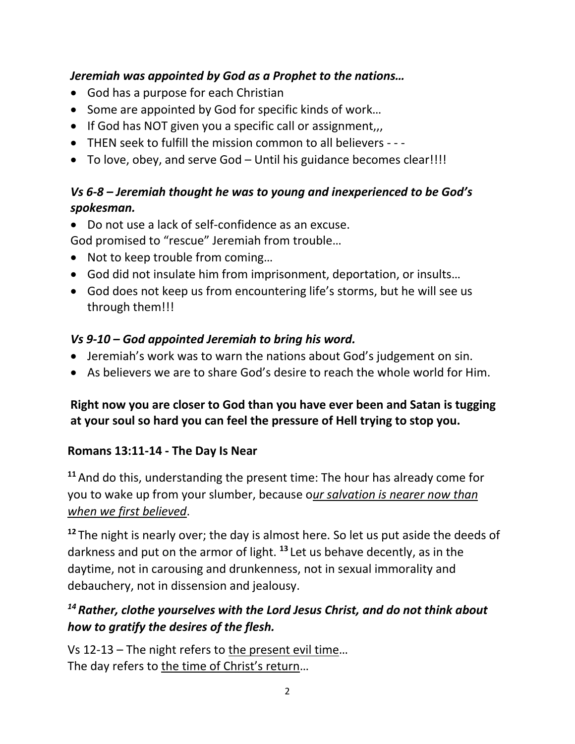### *Jeremiah was appointed by God as a Prophet to the nations…*

- God has a purpose for each Christian
- Some are appointed by God for specific kinds of work…
- If God has NOT given you a specific call or assignment,
- THEN seek to fulfill the mission common to all believers - -
- To love, obey, and serve God Until his guidance becomes clear!!!!

# *Vs 6-8 – Jeremiah thought he was to young and inexperienced to be God's spokesman.*

• Do not use a lack of self-confidence as an excuse.

God promised to "rescue" Jeremiah from trouble…

- Not to keep trouble from coming…
- God did not insulate him from imprisonment, deportation, or insults…
- God does not keep us from encountering life's storms, but he will see us through them!!!

# *Vs 9-10 – God appointed Jeremiah to bring his word.*

- Jeremiah's work was to warn the nations about God's judgement on sin.
- As believers we are to share God's desire to reach the whole world for Him.

# **Right now you are closer to God than you have ever been and Satan is tugging at your soul so hard you can feel the pressure of Hell trying to stop you.**

# **Romans 13:11-14 - The Day Is Near**

**<sup>11</sup>** And do this, understanding the present time: The hour has already come for you to wake up from your slumber, because o*ur salvation is nearer now than when we first believed*.

<sup>12</sup> The night is nearly over; the day is almost here. So let us put aside the deeds of darkness and put on the armor of light. **<sup>13</sup>** Let us behave decently, as in the daytime, not in carousing and drunkenness, not in sexual immorality and debauchery, not in dissension and jealousy.

# *<sup>14</sup> Rather, clothe yourselves with the Lord Jesus Christ, and do not think about how to gratify the desires of the flesh.*

Vs 12-13 – The night refers to the present evil time… The day refers to the time of Christ's return…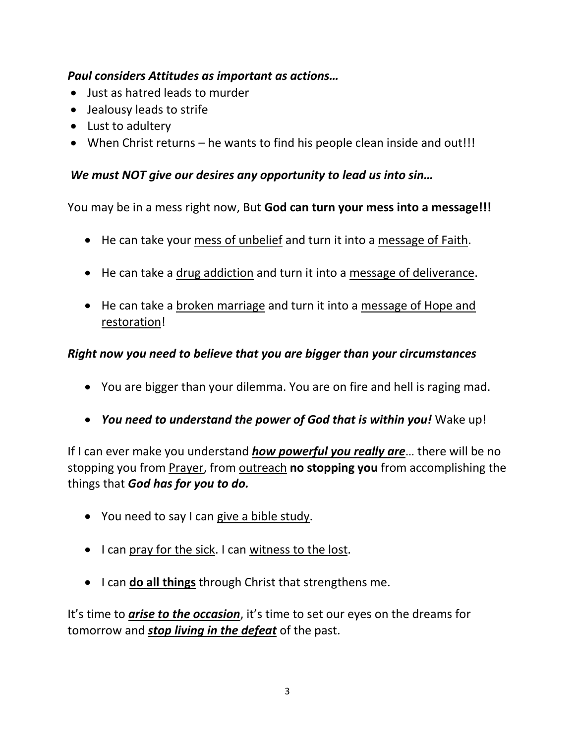### *Paul considers Attitudes as important as actions…*

- Just as hatred leads to murder
- Jealousy leads to strife
- Lust to adultery
- When Christ returns he wants to find his people clean inside and out!!!

### *We must NOT give our desires any opportunity to lead us into sin…*

You may be in a mess right now, But **God can turn your mess into a message!!!**

- He can take your mess of unbelief and turn it into a message of Faith.
- He can take a drug addiction and turn it into a message of deliverance.
- He can take a broken marriage and turn it into a message of Hope and restoration!

### *Right now you need to believe that you are bigger than your circumstances*

- You are bigger than your dilemma. You are on fire and hell is raging mad.
- *You need to understand the power of God that is within you!* Wake up!

If I can ever make you understand *how powerful you really are*… there will be no stopping you from Prayer, from outreach **no stopping you** from accomplishing the things that *God has for you to do.*

- You need to say I can give a bible study.
- I can pray for the sick. I can witness to the lost.
- I can **do all things** through Christ that strengthens me.

It's time to *arise to the occasion*, it's time to set our eyes on the dreams for tomorrow and *stop living in the defeat* of the past.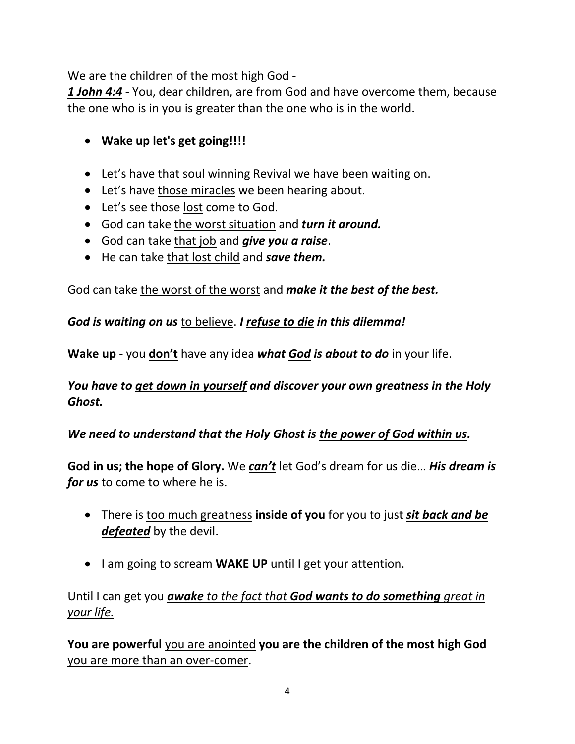We are the children of the most high God -

*1 John 4:4* - You, dear children, are from God and have overcome them, because the one who is in you is greater than the one who is in the world.

- **Wake up let's get going!!!!**
- Let's have that soul winning Revival we have been waiting on.
- Let's have those miracles we been hearing about.
- Let's see those lost come to God.
- God can take the worst situation and *turn it around.*
- God can take that job and *give you a raise*.
- He can take that lost child and *save them.*

God can take the worst of the worst and *make it the best of the best.*

*God is waiting on us* to believe. *I refuse to die in this dilemma!*

**Wake up** - you **don't** have any idea *what God is about to do* in your life.

### *You have to get down in yourself and discover your own greatness in the Holy Ghost.*

# *We need to understand that the Holy Ghost is the power of God within us.*

**God in us; the hope of Glory.** We *can't* let God's dream for us die… *His dream is for us* to come to where he is.

- There is too much greatness **inside of you** for you to just *sit back and be defeated* by the devil.
- I am going to scream **WAKE UP** until I get your attention.

Until I can get you *awake to the fact that God wants to do something great in your life.*

**You are powerful** you are anointed **you are the children of the most high God** you are more than an over-comer.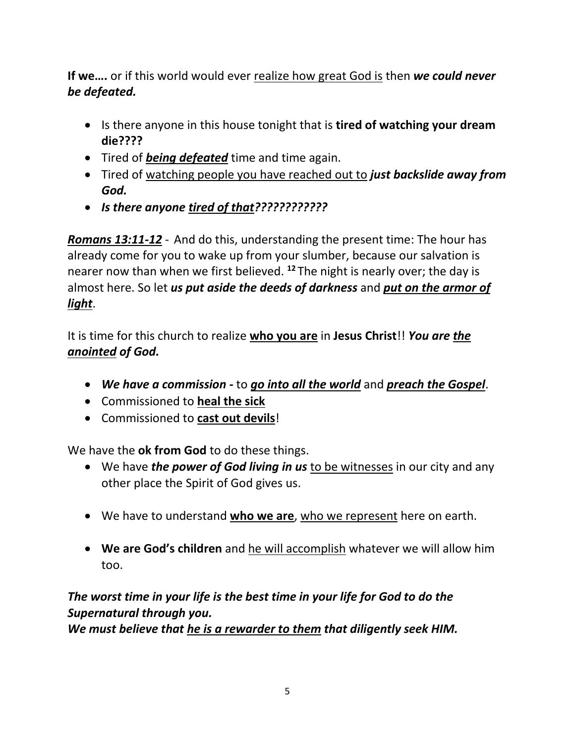**If we….** or if this world would ever realize how great God is then *we could never be defeated.*

- Is there anyone in this house tonight that is **tired of watching your dream die????**
- Tired of *being defeated* time and time again.
- Tired of watching people you have reached out to *just backslide away from God.*
- *Is there anyone tired of that????????????*

*Romans 13:11-12* - And do this, understanding the present time: The hour has already come for you to wake up from your slumber, because our salvation is nearer now than when we first believed. **<sup>12</sup>** The night is nearly over; the day is almost here. So let *us put aside the deeds of darkness* and *put on the armor of light*.

It is time for this church to realize **who you are** in **Jesus Christ**!! *You are the anointed of God.*

- *We have a commission -* to *go into all the world* and *preach the Gospel*.
- Commissioned to **heal the sick**
- Commissioned to **cast out devils**!

We have the **ok from God** to do these things.

- We have *the power of God living in us* to be witnesses in our city and any other place the Spirit of God gives us.
- We have to understand **who we are**, who we represent here on earth.
- **We are God's children** and he will accomplish whatever we will allow him too.

*The worst time in your life is the best time in your life for God to do the Supernatural through you.*

*We must believe that he is a rewarder to them that diligently seek HIM.*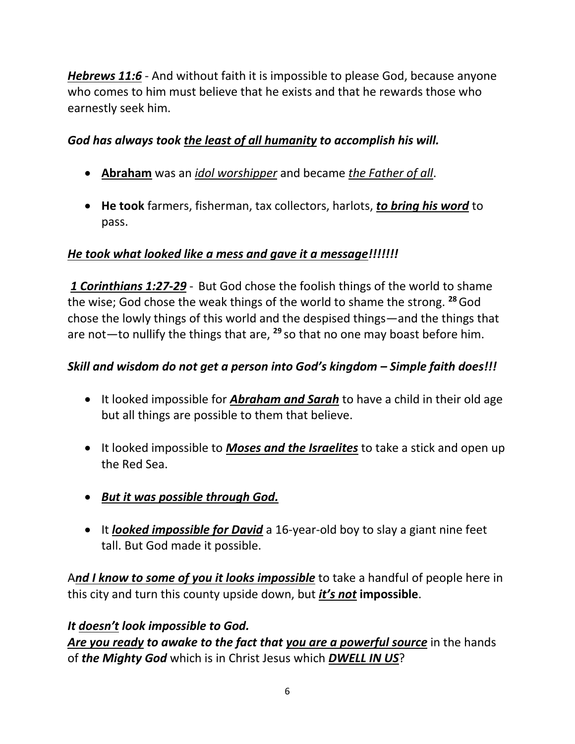*Hebrews 11:6* - And without faith it is impossible to please God, because anyone who comes to him must believe that he exists and that he rewards those who earnestly seek him.

## *God has always took the least of all humanity to accomplish his will.*

- **Abraham** was an *idol worshipper* and became *the Father of all*.
- **He took** farmers, fisherman, tax collectors, harlots, *to bring his word* to pass.

# *He took what looked like a mess and gave it a message!!!!!!!*

*1 Corinthians 1:27-29* - But God chose the foolish things of the world to shame the wise; God chose the weak things of the world to shame the strong. **<sup>28</sup>**God chose the lowly things of this world and the despised things—and the things that are not—to nullify the things that are, **<sup>29</sup>** so that no one may boast before him.

## *Skill and wisdom do not get a person into God's kingdom – Simple faith does!!!*

- It looked impossible for *Abraham and Sarah* to have a child in their old age but all things are possible to them that believe.
- It looked impossible to *Moses and the Israelites* to take a stick and open up the Red Sea.
- *But it was possible through God.*
- It *looked impossible for David* a 16-year-old boy to slay a giant nine feet tall. But God made it possible.

A*nd I know to some of you it looks impossible* to take a handful of people here in this city and turn this county upside down, but *it's not* **impossible**.

### *It doesn't look impossible to God.*

*Are you ready to awake to the fact that you are a powerful source* in the hands of *the Mighty God* which is in Christ Jesus which *DWELL IN US*?